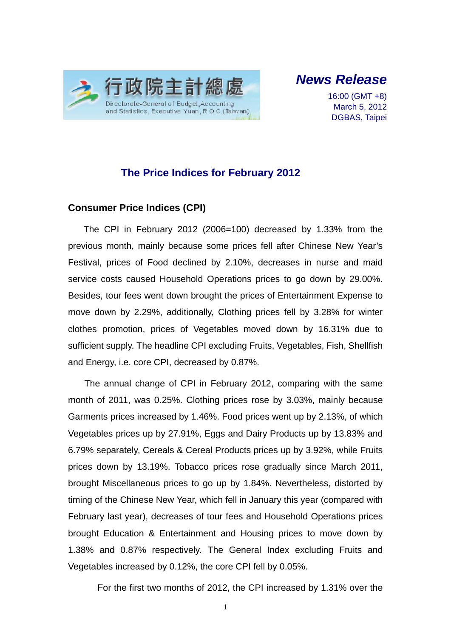

*News Release* 

16:00 (GMT +8) March 5, 2012 DGBAS, Taipei

## **The Price Indices for February 2012**

### **Consumer Price Indices (CPI)**

The CPI in February 2012 (2006=100) decreased by 1.33% from the previous month, mainly because some prices fell after Chinese New Year's Festival, prices of Food declined by 2.10%, decreases in nurse and maid service costs caused Household Operations prices to go down by 29.00%. Besides, tour fees went down brought the prices of Entertainment Expense to move down by 2.29%, additionally, Clothing prices fell by 3.28% for winter clothes promotion, prices of Vegetables moved down by 16.31% due to sufficient supply. The headline CPI excluding Fruits, Vegetables, Fish, Shellfish and Energy, i.e. core CPI, decreased by 0.87%.

The annual change of CPI in February 2012, comparing with the same month of 2011, was 0.25%. Clothing prices rose by 3.03%, mainly because Garments prices increased by 1.46%. Food prices went up by 2.13%, of which Vegetables prices up by 27.91%, Eggs and Dairy Products up by 13.83% and 6.79% separately, Cereals & Cereal Products prices up by 3.92%, while Fruits prices down by 13.19%. Tobacco prices rose gradually since March 2011, brought Miscellaneous prices to go up by 1.84%. Nevertheless, distorted by timing of the Chinese New Year, which fell in January this year (compared with February last year), decreases of tour fees and Household Operations prices brought Education & Entertainment and Housing prices to move down by 1.38% and 0.87% respectively. The General Index excluding Fruits and Vegetables increased by 0.12%, the core CPI fell by 0.05%.

For the first two months of 2012, the CPI increased by 1.31% over the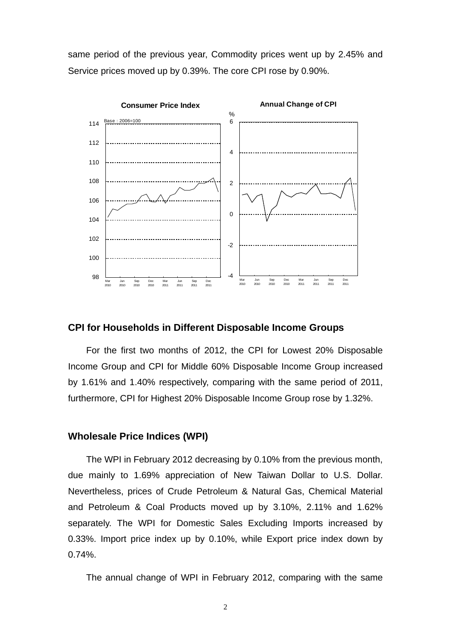same period of the previous year, Commodity prices went up by 2.45% and Service prices moved up by 0.39%. The core CPI rose by 0.90%.



#### **CPI for Households in Different Disposable Income Groups**

For the first two months of 2012, the CPI for Lowest 20% Disposable Income Group and CPI for Middle 60% Disposable Income Group increased by 1.61% and 1.40% respectively, comparing with the same period of 2011, furthermore, CPI for Highest 20% Disposable Income Group rose by 1.32%.

#### **Wholesale Price Indices (WPI)**

The WPI in February 2012 decreasing by 0.10% from the previous month, due mainly to 1.69% appreciation of New Taiwan Dollar to U.S. Dollar. Nevertheless, prices of Crude Petroleum & Natural Gas, Chemical Material and Petroleum & Coal Products moved up by 3.10%, 2.11% and 1.62% separately. The WPI for Domestic Sales Excluding Imports increased by 0.33%. Import price index up by 0.10%, while Export price index down by 0.74%.

The annual change of WPI in February 2012, comparing with the same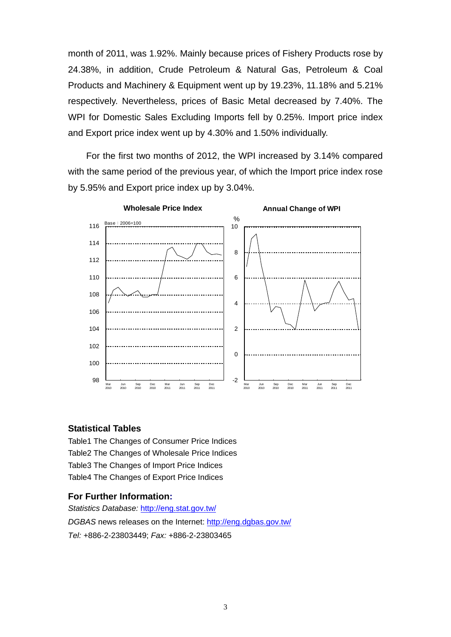month of 2011, was 1.92%. Mainly because prices of Fishery Products rose by 24.38%, in addition, Crude Petroleum & Natural Gas, Petroleum & Coal Products and Machinery & Equipment went up by 19.23%, 11.18% and 5.21% respectively. Nevertheless, prices of Basic Metal decreased by 7.40%. The WPI for Domestic Sales Excluding Imports fell by 0.25%. Import price index and Export price index went up by 4.30% and 1.50% individually.

For the first two months of 2012, the WPI increased by 3.14% compared with the same period of the previous year, of which the Import price index rose by 5.95% and Export price index up by 3.04%.



#### **Statistical Tables**

Table1 The Changes of Consumer Price Indices Table2 The Changes of Wholesale Price Indices Table3 The Changes of Import Price Indices Table4 The Changes of Export Price Indices

#### **For Further Information:**

*Statistics Database:* http://eng.stat.gov.tw/ *DGBAS* news releases on the Internet: http://eng.dgbas.gov.tw/

*Tel:* +886-2-23803449; *Fax:* +886-2-23803465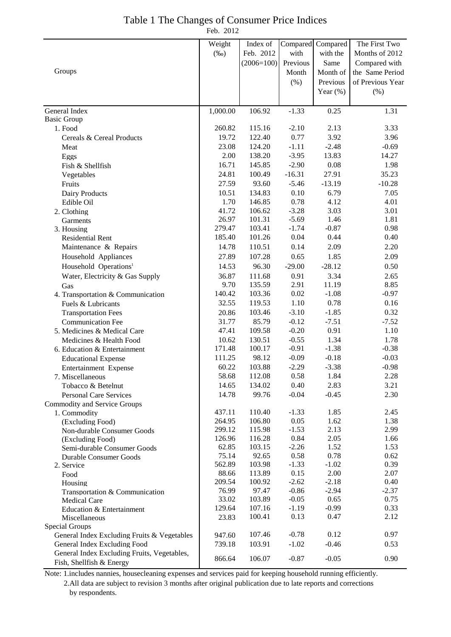| Table 1 The Changes of Consumer Price Indices |  |
|-----------------------------------------------|--|
| Feb. 2012                                     |  |

|                                                     | Weight          | Index of         |                 | Compared Compared | The First Two                    |
|-----------------------------------------------------|-----------------|------------------|-----------------|-------------------|----------------------------------|
|                                                     | $(\%0)$         | Feb. 2012        | with            | with the          | Months of 2012                   |
|                                                     |                 | $(2006=100)$     | Previous        | Same              |                                  |
| Groups                                              |                 |                  | Month           | Month of          | Compared with<br>the Same Period |
|                                                     |                 |                  |                 |                   |                                  |
|                                                     |                 |                  | (%)             | Previous          | of Previous Year                 |
|                                                     |                 |                  |                 | Year $(\%)$       | (% )                             |
| General Index                                       | 1,000.00        | 106.92           | $-1.33$         | 0.25              | 1.31                             |
| <b>Basic Group</b>                                  |                 |                  |                 |                   |                                  |
| 1. Food                                             | 260.82          | 115.16           | $-2.10$         | 2.13              | 3.33                             |
| Cereals & Cereal Products                           | 19.72           | 122.40           | 0.77            | 3.92              | 3.96                             |
| Meat                                                | 23.08           | 124.20           | $-1.11$         | $-2.48$           | $-0.69$                          |
| Eggs                                                | 2.00            | 138.20           | $-3.95$         | 13.83             | 14.27                            |
| Fish & Shellfish                                    | 16.71           | 145.85           | $-2.90$         | 0.08              | 1.98                             |
| Vegetables                                          | 24.81           | 100.49           | $-16.31$        | 27.91             | 35.23                            |
| Fruits                                              | 27.59           | 93.60            | $-5.46$         | $-13.19$          | $-10.28$                         |
| Dairy Products                                      | 10.51           | 134.83           | 0.10            | 6.79              | 7.05                             |
| Edible Oil                                          | 1.70            | 146.85           | 0.78            | 4.12              | 4.01                             |
| 2. Clothing                                         | 41.72           | 106.62           | $-3.28$         | 3.03              | 3.01                             |
| Garments                                            | 26.97           | 101.31           | $-5.69$         | 1.46              | 1.81                             |
| 3. Housing                                          | 279.47          | 103.41           | $-1.74$         | $-0.87$           | 0.98                             |
| <b>Residential Rent</b>                             | 185.40          | 101.26           | 0.04            | 0.44              | 0.40                             |
| Maintenance & Repairs                               | 14.78           | 110.51           | 0.14            | 2.09              | 2.20                             |
| Household Appliances                                | 27.89           | 107.28           | 0.65            | 1.85              | 2.09                             |
| Household Operations <sup>1</sup>                   | 14.53           | 96.30            | $-29.00$        | $-28.12$          | 0.50                             |
| Water, Electricity & Gas Supply                     | 36.87           | 111.68           | 0.91            | 3.34              | 2.65                             |
| Gas                                                 | 9.70            | 135.59           | 2.91            | 11.19             | 8.85                             |
| 4. Transportation & Communication                   | 140.42          | 103.36           | 0.02            | $-1.08$           | $-0.97$                          |
| Fuels & Lubricants                                  | 32.55           | 119.53           | 1.10            | 0.78              | 0.16                             |
| <b>Transportation Fees</b>                          | 20.86           | 103.46           | $-3.10$         | $-1.85$           | 0.32                             |
| <b>Communication Fee</b>                            | 31.77           | 85.79            | $-0.12$         | $-7.51$           | $-7.52$                          |
| 5. Medicines & Medical Care                         | 47.41           | 109.58           | $-0.20$         | 0.91              | 1.10                             |
| Medicines & Health Food                             | 10.62           | 130.51           | $-0.55$         | 1.34              | 1.78                             |
| 6. Education & Entertainment                        | 171.48          | 100.17           | $-0.91$         | $-1.38$           | $-0.38$                          |
| <b>Educational Expense</b>                          | 111.25          | 98.12            | $-0.09$         | $-0.18$           | $-0.03$                          |
| Entertainment Expense                               | 60.22           | 103.88<br>112.08 | $-2.29$         | $-3.38$           | $-0.98$                          |
| 7. Miscellaneous                                    | 58.68<br>14.65  | 134.02           | 0.58<br>0.40    | 1.84<br>2.83      | 2.28                             |
| Tobacco & Betelnut<br><b>Personal Care Services</b> | 14.78           | 99.76            | $-0.04$         | $-0.45$           | 3.21<br>2.30                     |
| Commodity and Service Groups                        |                 |                  |                 |                   |                                  |
| 1. Commodity                                        | 437.11          | 110.40           | $-1.33$         | 1.85              | 2.45                             |
| (Excluding Food)                                    | 264.95          | 106.80           | 0.05            | 1.62              | 1.38                             |
| Non-durable Consumer Goods                          | 299.12          | 115.98           | $-1.53$         | 2.13              | 2.99                             |
| (Excluding Food)                                    | 126.96          | 116.28           | 0.84            | 2.05              | 1.66                             |
| Semi-durable Consumer Goods                         | 62.85           | 103.15           | $-2.26$         | 1.52              | 1.53                             |
| Durable Consumer Goods                              | 75.14           | 92.65            | 0.58            | 0.78              | 0.62                             |
| 2. Service                                          | 562.89          | 103.98           | $-1.33$         | $-1.02$           | 0.39                             |
| Food                                                | 88.66           | 113.89           | 0.15            | 2.00              | 2.07                             |
| Housing                                             | 209.54          | 100.92           | $-2.62$         | $-2.18$           | 0.40                             |
| Transportation & Communication                      | 76.99           | 97.47            | $-0.86$         | $-2.94$           | $-2.37$                          |
| <b>Medical Care</b>                                 | 33.02           | 103.89           | $-0.05$         | 0.65              | 0.75                             |
| Education & Entertainment                           | 129.64<br>23.83 | 107.16<br>100.41 | $-1.19$<br>0.13 | $-0.99$<br>0.47   | 0.33<br>2.12                     |
| Miscellaneous<br>Special Groups                     |                 |                  |                 |                   |                                  |
| General Index Excluding Fruits & Vegetables         | 947.60          | 107.46           | $-0.78$         | 0.12              | 0.97                             |
| General Index Excluding Food                        | 739.18          | 103.91           | $-1.02$         | $-0.46$           | 0.53                             |
| General Index Excluding Fruits, Vegetables,         |                 |                  |                 |                   |                                  |
| Fish, Shellfish & Energy                            | 866.64          | 106.07           | $-0.87$         | $-0.05$           | 0.90                             |

Note: 1.includes nannies, housecleaning expenses and services paid for keeping household running efficiently. 2.All data are subject to revision 3 months after original publication due to late reports and corrections by respondents.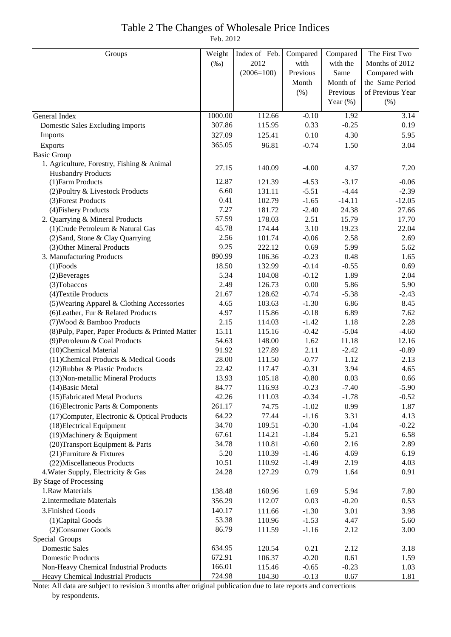#### Table 2 The Changes of Wholesale Price Indices Feb. 2012

| Groups                                           | Weight  | Index of Feb. | Compared | Compared    | The First Two    |
|--------------------------------------------------|---------|---------------|----------|-------------|------------------|
|                                                  | $(\%0)$ | 2012          | with     | with the    | Months of 2012   |
|                                                  |         | $(2006=100)$  | Previous | Same        | Compared with    |
|                                                  |         |               | Month    | Month of    | the Same Period  |
|                                                  |         |               | (% )     | Previous    | of Previous Year |
|                                                  |         |               |          | Year $(\%)$ | (% )             |
| General Index                                    | 1000.00 | 112.66        | $-0.10$  | 1.92        | 3.14             |
| <b>Domestic Sales Excluding Imports</b>          | 307.86  | 115.95        | 0.33     | $-0.25$     | 0.19             |
| Imports                                          | 327.09  | 125.41        | 0.10     | 4.30        | 5.95             |
| Exports                                          | 365.05  | 96.81         | $-0.74$  | 1.50        | 3.04             |
| <b>Basic Group</b>                               |         |               |          |             |                  |
| 1. Agriculture, Forestry, Fishing & Animal       |         |               |          |             |                  |
| <b>Husbandry Products</b>                        | 27.15   | 140.09        | $-4.00$  | 4.37        | 7.20             |
| (1) Farm Products                                | 12.87   | 121.39        | $-4.53$  | $-3.17$     | $-0.06$          |
| (2) Poultry & Livestock Products                 | 6.60    | 131.11        | $-5.51$  | $-4.44$     | $-2.39$          |
| (3) Forest Products                              | 0.41    | 102.79        | $-1.65$  | $-14.11$    | $-12.05$         |
| (4) Fishery Products                             | 7.27    | 181.72        | $-2.40$  | 24.38       | 27.66            |
| 2. Quarrying & Mineral Products                  | 57.59   | 178.03        | 2.51     | 15.79       | 17.70            |
| (1) Crude Petroleum & Natural Gas                | 45.78   | 174.44        | 3.10     | 19.23       | 22.04            |
| (2) Sand, Stone & Clay Quarrying                 | 2.56    | 101.74        | $-0.06$  | 2.58        | 2.69             |
| (3) Other Mineral Products                       | 9.25    | 222.12        | 0.69     | 5.99        | 5.62             |
| 3. Manufacturing Products                        | 890.99  | 106.36        | $-0.23$  | 0.48        | 1.65             |
| $(1)$ Foods                                      | 18.50   | 132.99        | $-0.14$  | $-0.55$     | 0.69             |
| (2) Beverages                                    | 5.34    | 104.08        | $-0.12$  | 1.89        | 2.04             |
| (3) Tobaccos                                     | 2.49    | 126.73        | $0.00\,$ | 5.86        | 5.90             |
| (4) Textile Products                             | 21.67   | 128.62        | $-0.74$  | $-5.38$     | $-2.43$          |
| (5) Wearing Apparel & Clothing Accessories       | 4.65    | 103.63        | $-1.30$  | 6.86        | 8.45             |
| (6) Leather, Fur & Related Products              | 4.97    | 115.86        | $-0.18$  | 6.89        | 7.62             |
| (7) Wood & Bamboo Products                       | 2.15    | 114.03        | $-1.42$  | 1.18        | 2.28             |
| (8) Pulp, Paper, Paper Products & Printed Matter | 15.11   | 115.16        | $-0.42$  | $-5.04$     | $-4.60$          |
| (9) Petroleum & Coal Products                    | 54.63   | 148.00        | 1.62     | 11.18       | 12.16            |
| (10)Chemical Material                            | 91.92   | 127.89        | 2.11     | $-2.42$     | $-0.89$          |
| (11) Chemical Products & Medical Goods           | 28.00   | 111.50        | $-0.77$  | 1.12        | 2.13             |
| (12) Rubber & Plastic Products                   | 22.42   | 117.47        | $-0.31$  | 3.94        | 4.65             |
| (13) Non-metallic Mineral Products               | 13.93   | 105.18        | $-0.80$  | 0.03        | 0.66             |
| (14) Basic Metal                                 | 84.77   | 116.93        | $-0.23$  | $-7.40$     | $-5.90$          |
| (15) Fabricated Metal Products                   | 42.26   | 111.03        | $-0.34$  | $-1.78$     | $-0.52$          |
| (16) Electronic Parts & Components               | 261.17  | 74.75         | $-1.02$  | 0.99        | 1.87             |
| (17) Computer, Electronic & Optical Products     | 64.22   | 77.44         | $-1.16$  | 3.31        | 4.13             |
| (18) Electrical Equipment                        | 34.70   | 109.51        | $-0.30$  | $-1.04$     | $-0.22$          |
| (19) Machinery & Equipment                       | 67.61   | 114.21        | $-1.84$  | 5.21        | 6.58             |
| (20) Transport Equipment & Parts                 | 34.78   | 110.81        | $-0.60$  | 2.16        | 2.89             |
| (21) Furniture & Fixtures                        | 5.20    | 110.39        | $-1.46$  | 4.69        | 6.19             |
| (22) Miscellaneous Products                      | 10.51   | 110.92        | $-1.49$  | 2.19        | 4.03             |
| 4. Water Supply, Electricity & Gas               | 24.28   | 127.29        | 0.79     | 1.64        | 0.91             |
| By Stage of Processing                           |         |               |          |             |                  |
| 1.Raw Materials                                  | 138.48  | 160.96        | 1.69     | 5.94        | 7.80             |
| 2. Intermediate Materials                        | 356.29  | 112.07        | 0.03     | $-0.20$     | 0.53             |
| 3. Finished Goods                                | 140.17  | 111.66        | $-1.30$  | 3.01        | 3.98             |
| (1) Capital Goods                                | 53.38   | 110.96        | $-1.53$  | 4.47        | 5.60             |
| (2) Consumer Goods                               | 86.79   | 111.59        | $-1.16$  | 2.12        | 3.00             |
| Special Groups                                   |         |               |          |             |                  |
| <b>Domestic Sales</b>                            | 634.95  | 120.54        | 0.21     | 2.12        | 3.18             |
| <b>Domestic Products</b>                         | 672.91  | 106.37        | $-0.20$  | 0.61        | 1.59             |
| Non-Heavy Chemical Industrial Products           | 166.01  | 115.46        | $-0.65$  | $-0.23$     | 1.03             |
| Heavy Chemical Industrial Products               | 724.98  | 104.30        | $-0.13$  | 0.67        | 1.81             |

Note: All data are subject to revision 3 months after original publication due to late reports and corrections by respondents.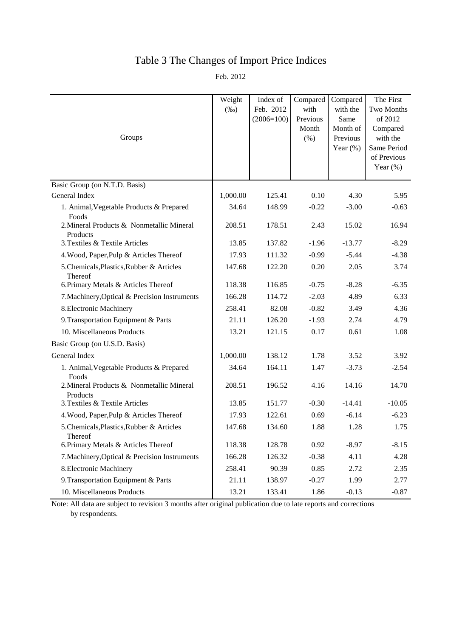# Table 3 The Changes of Import Price Indices

Feb. 2012

|                                                       | Weight<br>$(\%0)$ | Index of<br>Feb. 2012<br>$(2006=100)$ | Compared<br>with<br>Previous | Compared<br>with the<br>Same        | The First<br>Two Months<br>of 2012                                |
|-------------------------------------------------------|-------------------|---------------------------------------|------------------------------|-------------------------------------|-------------------------------------------------------------------|
| Groups                                                |                   |                                       | Month<br>(% )                | Month of<br>Previous<br>Year $(\%)$ | Compared<br>with the<br>Same Period<br>of Previous<br>Year $(\%)$ |
|                                                       |                   |                                       |                              |                                     |                                                                   |
| Basic Group (on N.T.D. Basis)                         |                   |                                       |                              |                                     |                                                                   |
| General Index                                         | 1,000.00          | 125.41                                | 0.10                         | 4.30                                | 5.95                                                              |
| 1. Animal, Vegetable Products & Prepared<br>Foods     | 34.64             | 148.99                                | $-0.22$                      | $-3.00$                             | $-0.63$                                                           |
| 2. Mineral Products & Nonmetallic Mineral<br>Products | 208.51            | 178.51                                | 2.43                         | 15.02                               | 16.94                                                             |
| 3. Textiles & Textile Articles                        | 13.85             | 137.82                                | $-1.96$                      | $-13.77$                            | $-8.29$                                                           |
| 4. Wood, Paper, Pulp & Articles Thereof               | 17.93             | 111.32                                | $-0.99$                      | $-5.44$                             | $-4.38$                                                           |
| 5. Chemicals, Plastics, Rubber & Articles<br>Thereof  | 147.68            | 122.20                                | 0.20                         | 2.05                                | 3.74                                                              |
| 6. Primary Metals & Articles Thereof                  | 118.38            | 116.85                                | $-0.75$                      | $-8.28$                             | $-6.35$                                                           |
| 7. Machinery, Optical & Precision Instruments         | 166.28            | 114.72                                | $-2.03$                      | 4.89                                | 6.33                                                              |
| 8. Electronic Machinery                               | 258.41            | 82.08                                 | $-0.82$                      | 3.49                                | 4.36                                                              |
| 9. Transportation Equipment & Parts                   | 21.11             | 126.20                                | $-1.93$                      | 2.74                                | 4.79                                                              |
| 10. Miscellaneous Products                            | 13.21             | 121.15                                | 0.17                         | 0.61                                | 1.08                                                              |
| Basic Group (on U.S.D. Basis)                         |                   |                                       |                              |                                     |                                                                   |
| General Index                                         | 1,000.00          | 138.12                                | 1.78                         | 3.52                                | 3.92                                                              |
| 1. Animal, Vegetable Products & Prepared<br>Foods     | 34.64             | 164.11                                | 1.47                         | $-3.73$                             | $-2.54$                                                           |
| 2. Mineral Products & Nonmetallic Mineral<br>Products | 208.51            | 196.52                                | 4.16                         | 14.16                               | 14.70                                                             |
| 3. Textiles & Textile Articles                        | 13.85             | 151.77                                | $-0.30$                      | $-14.41$                            | $-10.05$                                                          |
| 4. Wood, Paper, Pulp & Articles Thereof               | 17.93             | 122.61                                | 0.69                         | $-6.14$                             | $-6.23$                                                           |
| 5. Chemicals, Plastics, Rubber & Articles<br>Thereof  | 147.68            | 134.60                                | 1.88                         | 1.28                                | 1.75                                                              |
| 6. Primary Metals & Articles Thereof                  | 118.38            | 128.78                                | 0.92                         | $-8.97$                             | $-8.15$                                                           |
| 7. Machinery, Optical & Precision Instruments         | 166.28            | 126.32                                | $-0.38$                      | 4.11                                | 4.28                                                              |
| 8. Electronic Machinery                               | 258.41            | 90.39                                 | 0.85                         | 2.72                                | 2.35                                                              |
| 9. Transportation Equipment & Parts                   | 21.11             | 138.97                                | $-0.27$                      | 1.99                                | 2.77                                                              |
| 10. Miscellaneous Products                            | 13.21             | 133.41                                | 1.86                         | $-0.13$                             | $-0.87$                                                           |

Note: All data are subject to revision 3 months after original publication due to late reports and corrections by respondents.